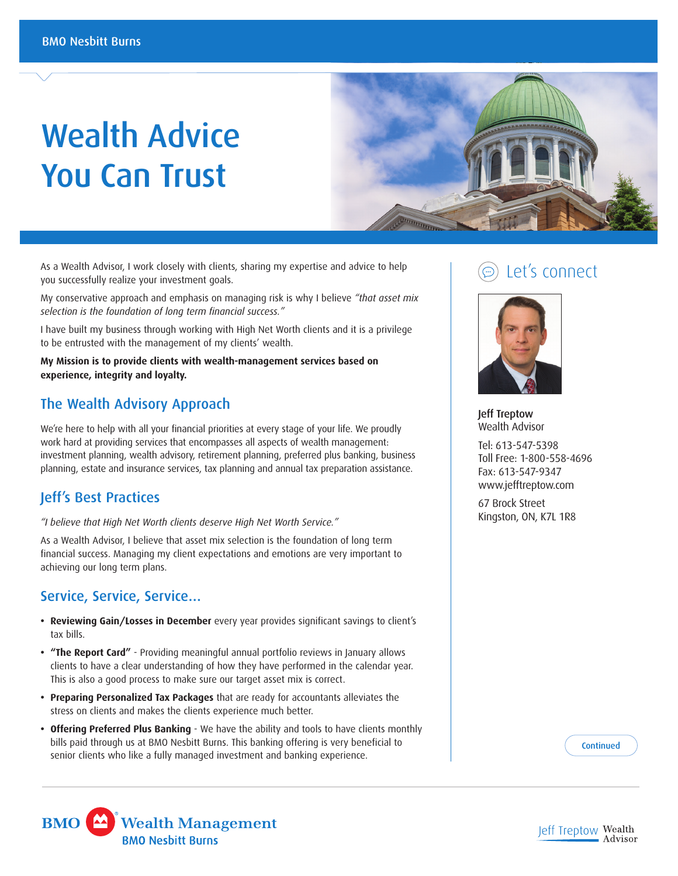# Wealth Advice You Can Trust



As a Wealth Advisor, I work closely with clients, sharing my expertise and advice to help you successfully realize your investment goals.

My conservative approach and emphasis on managing risk is why I believe *"that asset mix selection is the foundation of long term financial success."* 

I have built my business through working with High Net Worth clients and it is a privilege to be entrusted with the management of my clients' wealth.

**My Mission is to provide clients with wealth-management services based on experience, integrity and loyalty.** 

#### The Wealth Advisory Approach

We're here to help with all your financial priorities at every stage of your life. We proudly work hard at providing services that encompasses all aspects of wealth management: investment planning, wealth advisory, retirement planning, preferred plus banking, business planning, estate and insurance services, tax planning and annual tax preparation assistance.

## Jeff's Best Practices

*"I believe that High Net Worth clients deserve High Net Worth Service."* 

As a Wealth Advisor, I believe that asset mix selection is the foundation of long term financial success. Managing my client expectations and emotions are very important to achieving our long term plans.

#### Service, Service, Service…

- **Reviewing Gain/Losses in December** every year provides significant savings to client's tax bills.
- **"The Report Card"**  Providing meaningful annual portfolio reviews in January allows clients to have a clear understanding of how they have performed in the calendar year. This is also a good process to make sure our target asset mix is correct.
- **Preparing Personalized Tax Packages** that are ready for accountants alleviates the stress on clients and makes the clients experience much better.
- **Offering Preferred Plus Banking**  We have the ability and tools to have clients monthly bills paid through us at BMO Nesbitt Burns. This banking offering is very beneficial to senior clients who like a fully managed investment and banking experience.

## Let's connect



Jeff Treptow Wealth Advisor

Tel: 613-547-5398 Toll Free: 1-800-558-4696 Fax: 613-547-9347 www.jefftreptow.com

67 Brock Street Kingston, ON, K7L 1R8

**Continued**